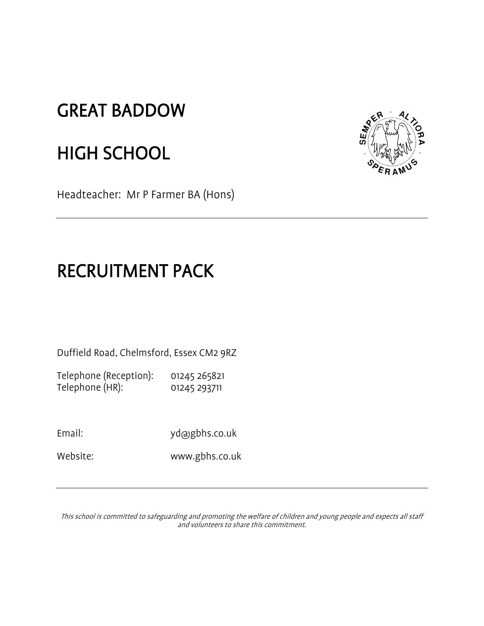## GREAT BADDOW

# HIGH SCHOOL

Headteacher: Mr P Farmer BA (Hons)



# RECRUITMENT PACK

Duffield Road, Chelmsford, Essex CM2 9RZ

Telephone (Reception): 01245 265821 Telephone (HR): 01245 293711

Email: yd@gbhs.co.uk

Website: www.gbhs.co.uk

This school is committed to safeguarding and promoting the welfare of children and young people and expects all staff and volunteers to share this commitment.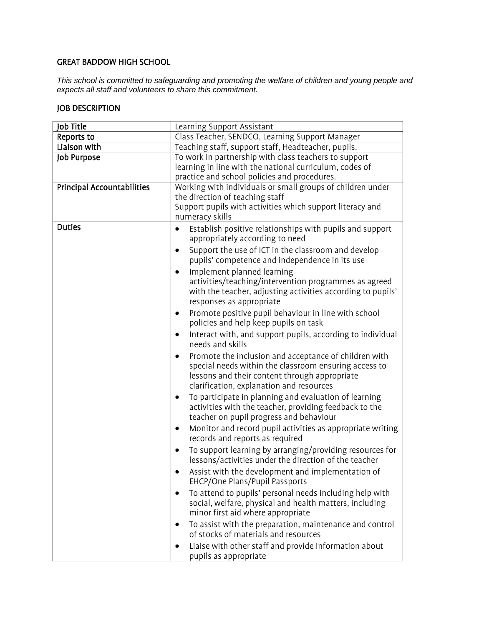### GREAT BADDOW HIGH SCHOOL

*This school is committed to safeguarding and promoting the welfare of children and young people and expects all staff and volunteers to share this commitment.*

## JOB DESCRIPTION

| Job Title                  | Learning Support Assistant                                                                                                                                                                                               |  |  |
|----------------------------|--------------------------------------------------------------------------------------------------------------------------------------------------------------------------------------------------------------------------|--|--|
| Reports to                 | Class Teacher, SENDCO, Learning Support Manager                                                                                                                                                                          |  |  |
| Liaison with               | Teaching staff, support staff, Headteacher, pupils.                                                                                                                                                                      |  |  |
| Job Purpose                | To work in partnership with class teachers to support<br>learning in line with the national curriculum, codes of<br>practice and school policies and procedures.                                                         |  |  |
| Principal Accountabilities | Working with individuals or small groups of children under<br>the direction of teaching staff<br>Support pupils with activities which support literacy and<br>numeracy skills                                            |  |  |
| <b>Duties</b>              | Establish positive relationships with pupils and support<br>$\bullet$<br>appropriately according to need                                                                                                                 |  |  |
|                            | Support the use of ICT in the classroom and develop<br>$\bullet$<br>pupils' competence and independence in its use                                                                                                       |  |  |
|                            | Implement planned learning<br>$\bullet$<br>activities/teaching/intervention programmes as agreed<br>with the teacher, adjusting activities according to pupils'<br>responses as appropriate                              |  |  |
|                            | Promote positive pupil behaviour in line with school<br>$\bullet$<br>policies and help keep pupils on task                                                                                                               |  |  |
|                            | Interact with, and support pupils, according to individual<br>٠<br>needs and skills                                                                                                                                      |  |  |
|                            | Promote the inclusion and acceptance of children with<br>$\bullet$<br>special needs within the classroom ensuring access to<br>lessons and their content through appropriate<br>clarification, explanation and resources |  |  |
|                            | To participate in planning and evaluation of learning<br>$\bullet$<br>activities with the teacher, providing feedback to the<br>teacher on pupil progress and behaviour                                                  |  |  |
|                            | Monitor and record pupil activities as appropriate writing<br>$\bullet$<br>records and reports as required                                                                                                               |  |  |
|                            | To support learning by arranging/providing resources for<br>$\bullet$<br>lessons/activities under the direction of the teacher                                                                                           |  |  |
|                            | Assist with the development and implementation of<br>EHCP/One Plans/Pupil Passports                                                                                                                                      |  |  |
|                            | To attend to pupils' personal needs including help with<br>$\bullet$<br>social, welfare, physical and health matters, including<br>minor first aid where appropriate                                                     |  |  |
|                            | To assist with the preparation, maintenance and control<br>٠<br>of stocks of materials and resources                                                                                                                     |  |  |
|                            | Liaise with other staff and provide information about<br>$\bullet$<br>pupils as appropriate                                                                                                                              |  |  |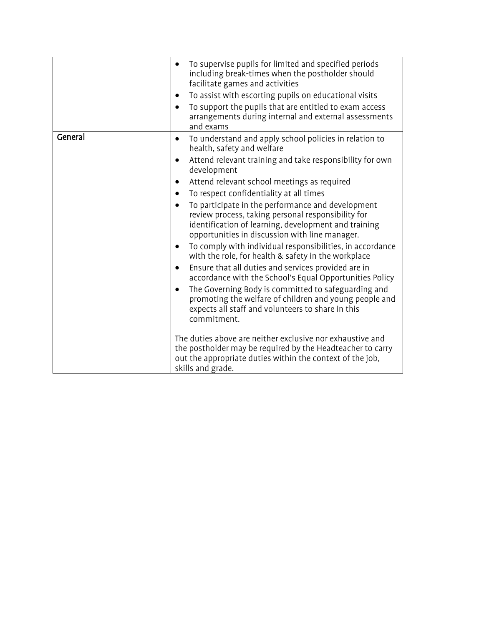|         | To supervise pupils for limited and specified periods<br>$\bullet$<br>including break-times when the postholder should<br>facilitate games and activities<br>To assist with escorting pupils on educational visits<br>٠<br>To support the pupils that are entitled to exam access<br>arrangements during internal and external assessments<br>and exams                                                                                                                                                                                                                                                                                                                                                                                                                                                                                                                                                                                                                                                                                                                                                                                                         |
|---------|-----------------------------------------------------------------------------------------------------------------------------------------------------------------------------------------------------------------------------------------------------------------------------------------------------------------------------------------------------------------------------------------------------------------------------------------------------------------------------------------------------------------------------------------------------------------------------------------------------------------------------------------------------------------------------------------------------------------------------------------------------------------------------------------------------------------------------------------------------------------------------------------------------------------------------------------------------------------------------------------------------------------------------------------------------------------------------------------------------------------------------------------------------------------|
| General | To understand and apply school policies in relation to<br>$\bullet$<br>health, safety and welfare<br>Attend relevant training and take responsibility for own<br>$\bullet$<br>development<br>Attend relevant school meetings as required<br>٠<br>To respect confidentiality at all times<br>To participate in the performance and development<br>review process, taking personal responsibility for<br>identification of learning, development and training<br>opportunities in discussion with line manager.<br>To comply with individual responsibilities, in accordance<br>٠<br>with the role, for health & safety in the workplace<br>Ensure that all duties and services provided are in<br>٠<br>accordance with the School's Equal Opportunities Policy<br>The Governing Body is committed to safeguarding and<br>promoting the welfare of children and young people and<br>expects all staff and volunteers to share in this<br>commitment.<br>The duties above are neither exclusive nor exhaustive and<br>the postholder may be required by the Headteacher to carry<br>out the appropriate duties within the context of the job,<br>skills and grade. |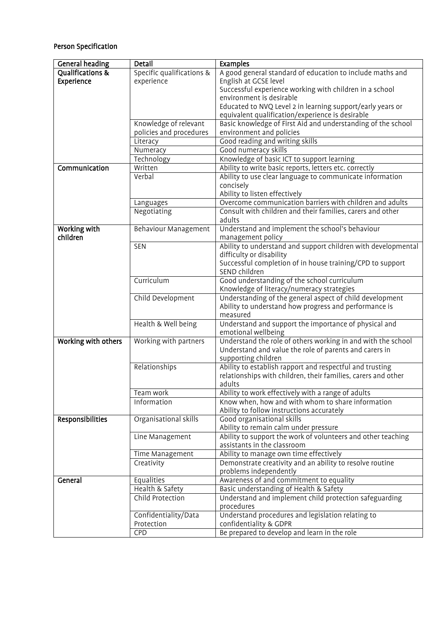## Person Specification

| <b>General heading</b> | Detail                    | <b>Examples</b>                                               |
|------------------------|---------------------------|---------------------------------------------------------------|
| Qualifications &       | Specific qualifications & | A good general standard of education to include maths and     |
| Experience             | experience                | English at GCSE level                                         |
|                        |                           | Successful experience working with children in a school       |
|                        |                           | environment is desirable                                      |
|                        |                           | Educated to NVQ Level 2 in learning support/early years or    |
|                        |                           | equivalent qualification/experience is desirable              |
|                        | Knowledge of relevant     | Basic knowledge of First Aid and understanding of the school  |
|                        | policies and procedures   | environment and policies                                      |
|                        | Literacy                  | Good reading and writing skills                               |
|                        | Numeracy                  | Good numeracy skills                                          |
|                        | <b>Technology</b>         | Knowledge of basic ICT to support learning                    |
| Communication          | Written                   | Ability to write basic reports, letters etc. correctly        |
|                        | Verbal                    | Ability to use clear language to communicate information      |
|                        |                           | concisely                                                     |
|                        |                           | Ability to listen effectively                                 |
|                        | Languages                 | Overcome communication barriers with children and adults      |
|                        | Negotiating               | Consult with children and their families, carers and other    |
|                        |                           | adults                                                        |
| Working with           | Behaviour Management      | Understand and implement the school's behaviour               |
| children               |                           | management policy                                             |
|                        | <b>SEN</b>                | Ability to understand and support children with developmental |
|                        |                           | difficulty or disability                                      |
|                        |                           | Successful completion of in house training/CPD to support     |
|                        |                           | SEND children                                                 |
|                        | Curriculum                | Good understanding of the school curriculum                   |
|                        |                           | Knowledge of literacy/numeracy strategies                     |
|                        | Child Development         | Understanding of the general aspect of child development      |
|                        |                           | Ability to understand how progress and performance is         |
|                        |                           | measured                                                      |
|                        | Health & Well being       | Understand and support the importance of physical and         |
|                        |                           | emotional wellbeing                                           |
| Working with others    | Working with partners     | Understand the role of others working in and with the school  |
|                        |                           | Understand and value the role of parents and carers in        |
|                        |                           | supporting children                                           |
|                        | Relationships             | Ability to establish rapport and respectful and trusting      |
|                        |                           | relationships with children, their families, carers and other |
|                        |                           | adults                                                        |
|                        | Team work                 | Ability to work effectively with a range of adults            |
|                        | Information               | Know when, how and with whom to share information             |
|                        |                           | Ability to follow instructions accurately                     |
| Responsibilities       | Organisational skills     | Good organisational skills                                    |
|                        |                           | Ability to remain calm under pressure                         |
|                        | Line Management           | Ability to support the work of volunteers and other teaching  |
|                        |                           | assistants in the classroom                                   |
|                        | Time Management           | Ability to manage own time effectively                        |
|                        | Creativity                | Demonstrate creativity and an ability to resolve routine      |
|                        |                           | problems independently                                        |
| General                | Equalities                | Awareness of and commitment to equality                       |
|                        | Health & Safety           | Basic understanding of Health & Safety                        |
|                        | Child Protection          | Understand and implement child protection safeguarding        |
|                        |                           | procedures                                                    |
|                        | Confidentiality/Data      | Understand procedures and legislation relating to             |
|                        | Protection                | confidentiality & GDPR                                        |
|                        | <b>CPD</b>                | Be prepared to develop and learn in the role                  |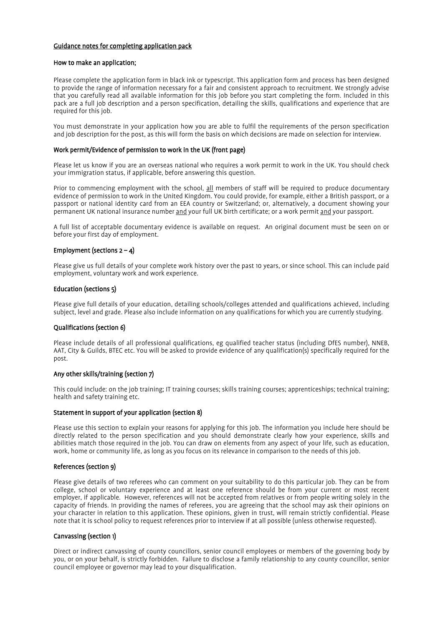#### Guidance notes for completing application pack

#### How to make an application;

Please complete the application form in black ink or typescript. This application form and process has been designed to provide the range of information necessary for a fair and consistent approach to recruitment. We strongly advise that you carefully read all available information for this job before you start completing the form. Included in this pack are a full job description and a person specification, detailing the skills, qualifications and experience that are required for this job.

You must demonstrate in your application how you are able to fulfil the requirements of the person specification and job description for the post, as this will form the basis on which decisions are made on selection for interview.

#### Work permit/Evidence of permission to work in the UK (front page)

Please let us know if you are an overseas national who requires a work permit to work in the UK. You should check your immigration status, if applicable, before answering this question.

Prior to commencing employment with the school, all members of staff will be required to produce documentary evidence of permission to work in the United Kingdom. You could provide, for example, either a British passport, or a passport or national identity card from an EEA country or Switzerland; or, alternatively, a document showing your permanent UK national insurance number and your full UK birth certificate; or a work permit and your passport.

A full list of acceptable documentary evidence is available on request. An original document must be seen on or before your first day of employment.

#### Employment (sections  $2 - 4$ )

Please give us full details of your complete work history over the past 10 years, or since school. This can include paid employment, voluntary work and work experience.

#### Education (sections 5)

Please give full details of your education, detailing schools/colleges attended and qualifications achieved, including subject, level and grade. Please also include information on any qualifications for which you are currently studying.

#### Qualifications (section 6)

Please include details of all professional qualifications, eg qualified teacher status (including DfES number), NNEB, AAT, City & Guilds, BTEC etc. You will be asked to provide evidence of any qualification(s) specifically required for the post.

#### Any other skills/training (section 7)

This could include: on the job training; IT training courses; skills training courses; apprenticeships; technical training; health and safety training etc.

#### Statement in support of your application (section 8)

Please use this section to explain your reasons for applying for this job. The information you include here should be directly related to the person specification and you should demonstrate clearly how your experience, skills and abilities match those required in the job. You can draw on elements from any aspect of your life, such as education, work, home or community life, as long as you focus on its relevance in comparison to the needs of this job.

#### References (section 9)

Please give details of two referees who can comment on your suitability to do this particular job. They can be from college, school or voluntary experience and at least one reference should be from your current or most recent employer, if applicable. However, references will not be accepted from relatives or from people writing solely in the capacity of friends. In providing the names of referees, you are agreeing that the school may ask their opinions on your character in relation to this application. These opinions, given in trust, will remain strictly confidential. Please note that it is school policy to request references prior to interview if at all possible (unless otherwise requested).

#### Canvassing (section 1)

Direct or indirect canvassing of county councillors, senior council employees or members of the governing body by you, or on your behalf, is strictly forbidden. Failure to disclose a family relationship to any county councillor, senior council employee or governor may lead to your disqualification.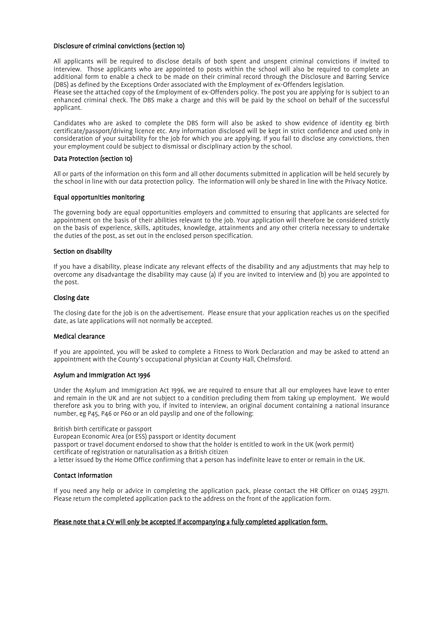#### Disclosure of criminal convictions (section 10)

All applicants will be required to disclose details of both spent and unspent criminal convictions if invited to interview. Those applicants who are appointed to posts within the school will also be required to complete an additional form to enable a check to be made on their criminal record through the Disclosure and Barring Service (DBS) as defined by the Exceptions Order associated with the Employment of ex-Offenders legislation.

Please see the attached copy of the Employment of ex-Offenders policy. The post you are applying for is subject to an enhanced criminal check. The DBS make a charge and this will be paid by the school on behalf of the successful applicant.

Candidates who are asked to complete the DBS form will also be asked to show evidence of identity eg birth certificate/passport/driving licence etc. Any information disclosed will be kept in strict confidence and used only in consideration of your suitability for the job for which you are applying. If you fail to disclose any convictions, then your employment could be subject to dismissal or disciplinary action by the school.

#### Data Protection (section 10)

All or parts of the information on this form and all other documents submitted in application will be held securely by the school in line with our data protection policy. The information will only be shared in line with the Privacy Notice.

#### Equal opportunities monitoring

The governing body are equal opportunities employers and committed to ensuring that applicants are selected for appointment on the basis of their abilities relevant to the job. Your application will therefore be considered strictly on the basis of experience, skills, aptitudes, knowledge, attainments and any other criteria necessary to undertake the duties of the post, as set out in the enclosed person specification.

#### Section on disability

If you have a disability, please indicate any relevant effects of the disability and any adjustments that may help to overcome any disadvantage the disability may cause (a) if you are invited to interview and (b) you are appointed to the post.

#### Closing date

The closing date for the job is on the advertisement. Please ensure that your application reaches us on the specified date, as late applications will not normally be accepted.

#### Medical clearance

If you are appointed, you will be asked to complete a Fitness to Work Declaration and may be asked to attend an appointment with the County's occupational physician at County Hall, Chelmsford.

#### Asylum and Immigration Act 1996

Under the Asylum and Immigration Act 1996, we are required to ensure that all our employees have leave to enter and remain in the UK and are not subject to a condition precluding them from taking up employment. We would therefore ask you to bring with you, if invited to interview, an original document containing a national insurance number, eg P45, P46 or P60 or an old payslip and one of the following:

#### British birth certificate or passport

European Economic Area (or ESS) passport or identity document passport or travel document endorsed to show that the holder is entitled to work in the UK (work permit) certificate of registration or naturalisation as a British citizen a letter issued by the Home Office confirming that a person has indefinite leave to enter or remain in the UK.

#### Contact information

If you need any help or advice in completing the application pack, please contact the HR Officer on 01245 293711. Please return the completed application pack to the address on the front of the application form.

#### Please note that a CV will only be accepted if accompanying a fully completed application form.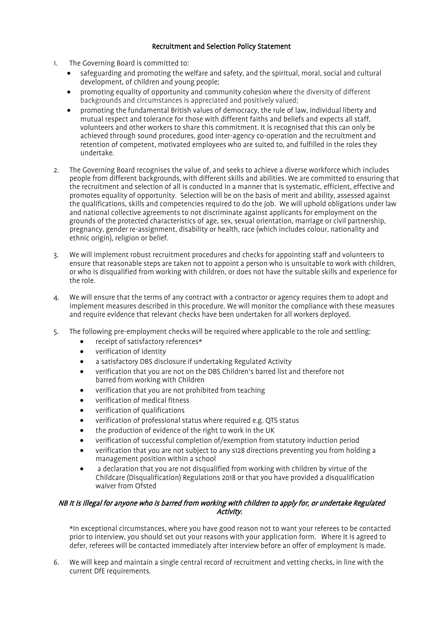### Recruitment and Selection Policy Statement

- 1. The Governing Board is committed to:
	- safeguarding and promoting the welfare and safety, and the spiritual, moral, social and cultural development, of children and young people;
	- promoting equality of opportunity and community cohesion where the diversity of different backgrounds and circumstances is appreciated and positively valued;
	- promoting the fundamental British values of democracy, the rule of law, individual liberty and mutual respect and tolerance for those with different faiths and beliefs and expects all staff, volunteers and other workers to share this commitment. It is recognised that this can only be achieved through sound procedures, good inter-agency co-operation and the recruitment and retention of competent, motivated employees who are suited to, and fulfilled in the roles they undertake.
- 2. The Governing Board recognises the value of, and seeks to achieve a diverse workforce which includes people from different backgrounds, with different skills and abilities. We are committed to ensuring that the recruitment and selection of all is conducted in a manner that is systematic, efficient, effective and promotes equality of opportunity. Selection will be on the basis of merit and ability, assessed against the qualifications, skills and competencies required to do the job. We will uphold obligations under law and national collective agreements to not discriminate against applicants for employment on the grounds of the protected characteristics of age, sex, sexual orientation, marriage or civil partnership, pregnancy, gender re-assignment, disability or health, race (which includes colour, nationality and ethnic origin), religion or belief.
- 3. We will implement robust recruitment procedures and checks for appointing staff and volunteers to ensure that reasonable steps are taken not to appoint a person who is unsuitable to work with children, or who is disqualified from working with children, or does not have the suitable skills and experience for the role.
- 4. We will ensure that the terms of any contract with a contractor or agency requires them to adopt and implement measures described in this procedure. We will monitor the compliance with these measures and require evidence that relevant checks have been undertaken for all workers deployed.
- 5. The following pre-employment checks will be required where applicable to the role and settling:
	- receipt of satisfactory references\*
	- verification of identity
	- a satisfactory DBS disclosure if undertaking Regulated Activity
	- verification that you are not on the DBS Children's barred list and therefore not barred from working with Children
	- verification that you are not prohibited from teaching
	- verification of medical fitness
	- verification of qualifications
	- verification of professional status where required e.g. QTS status
	- the production of evidence of the right to work in the UK
	- verification of successful completion of/exemption from statutory induction period
	- verification that you are not subject to any s128 directions preventing you from holding a management position within a school
	- a declaration that you are not disqualified from working with children by virtue of the Childcare (Disqualification) Regulations 2018 or that you have provided a disqualification waiver from Ofsted

### NB It is illegal for anyone who is barred from working with children to apply for, or undertake Regulated Activity.

\*In exceptional circumstances, where you have good reason not to want your referees to be contacted prior to interview, you should set out your reasons with your application form. Where it is agreed to defer, referees will be contacted immediately after interview before an offer of employment is made.

6. We will keep and maintain a single central record of recruitment and vetting checks, in line with the current DfE requirements.